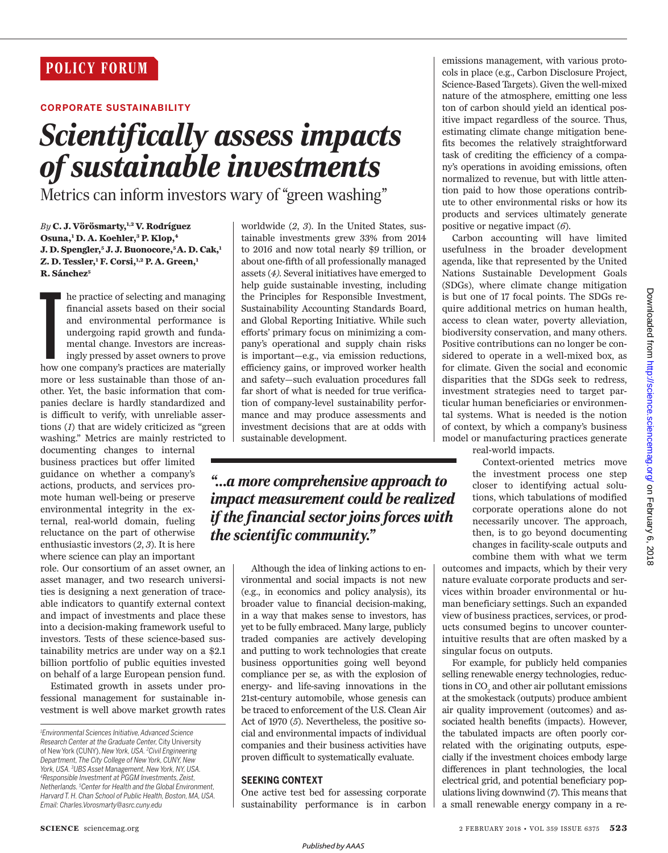### **CORPORATE SUSTAINABILITY**

# *Scientifically assess impacts of sustainable investments*

Metrics can inform investors wary of "green washing"

*By* **C. J. Vörösmarty,1,2 V. Rodríguez Osuna,<sup>1</sup> D. A. Koehler,<sup>3</sup> P. Klop,<sup>4</sup> J. D. Spengler,<sup>5</sup> J. J. Buonocore,5 A. D. Cak,<sup>1</sup> Z. D. Tessler,<sup>1</sup> F. Corsi,1,2 P. A. Green,<sup>1</sup> R. Sánchez<sup>5</sup>**

he practice of selecting and managing<br>financial assets based on their social<br>and environmental performance is<br>undergoing rapid growth and funda-<br>mental change. Investors are increas-<br>ingly pressed by asset owners to prove<br> he practice of selecting and managing financial assets based on their social and environmental performance is undergoing rapid growth and fundamental change. Investors are increasingly pressed by asset owners to prove more or less sustainable than those of another. Yet, the basic information that companies declare is hardly standardized and is difficult to verify, with unreliable assertions (*1*) that are widely criticized as "green washing." Metrics are mainly restricted to

documenting changes to internal business practices but offer limited guidance on whether a company's actions, products, and services promote human well-being or preserve environmental integrity in the external, real-world domain, fueling reluctance on the part of otherwise enthusiastic investors (*2*, *3*). It is here where science can play an important

role. Our consortium of an asset owner, an asset manager, and two research universities is designing a next generation of traceable indicators to quantify external context and impact of investments and place these into a decision-making framework useful to investors. Tests of these science-based sustainability metrics are under way on a \$2.1 billion portfolio of public equities invested on behalf of a large European pension fund.

Estimated growth in assets under professional management for sustainable investment is well above market growth rates worldwide (*2*, *3*). In the United States, sustainable investments grew 33% from 2014 to 2016 and now total nearly \$9 trillion, or about one-fifth of all professionally managed assets (*4).* Several initiatives have emerged to help guide sustainable investing, including the Principles for Responsible Investment, Sustainability Accounting Standards Board, and Global Reporting Initiative. While such efforts' primary focus on minimizing a company's operational and supply chain risks is important—e.g., via emission reductions, efficiency gains, or improved worker health and safety—such evaluation procedures fall far short of what is needed for true verification of company-level sustainability performance and may produce assessments and investment decisions that are at odds with sustainable development.

# *"…a more comprehensive approach to impact measurement could be realized if the financial sector joins forces with the scientific community."*

Although the idea of linking actions to environmental and social impacts is not new (e.g., in economics and policy analysis), its broader value to financial decision-making, in a way that makes sense to investors, has yet to be fully embraced. Many large, publicly traded companies are actively developing and putting to work technologies that create business opportunities going well beyond compliance per se, as with the explosion of energy- and life-saving innovations in the 21st-century automobile, whose genesis can be traced to enforcement of the U.S. Clean Air Act of 1970 (*5*). Nevertheless, the positive social and environmental impacts of individual companies and their business activities have proven difficult to systematically evaluate.

## **SEEKING CONTEXT**

One active test bed for assessing corporate sustainability performance is in carbon

emissions management, with various protocols in place (e.g., Carbon Disclosure Project, Science-Based Targets). Given the well-mixed nature of the atmosphere, emitting one less ton of carbon should yield an identical positive impact regardless of the source. Thus, estimating climate change mitigation benefits becomes the relatively straightforward task of crediting the efficiency of a company's operations in avoiding emissions, often normalized to revenue, but with little attention paid to how those operations contribute to other environmental risks or how its products and services ultimately generate positive or negative impact (*6*).

Carbon accounting will have limited usefulness in the broader development agenda, like that represented by the United Nations Sustainable Development Goals (SDGs), where climate change mitigation is but one of 17 focal points. The SDGs require additional metrics on human health, access to clean water, poverty alleviation, biodiversity conservation, and many others. Positive contributions can no longer be considered to operate in a well-mixed box, as for climate. Given the social and economic disparities that the SDGs seek to redress, investment strategies need to target particular human beneficiaries or environmental systems. What is needed is the notion of context, by which a company's business model or manufacturing practices generate

real-world impacts.

Context-oriented metrics move the investment process one step closer to identifying actual solutions, which tabulations of modified corporate operations alone do not necessarily uncover. The approach, then, is to go beyond documenting changes in facility-scale outputs and combine them with what we term

outcomes and impacts, which by their very nature evaluate corporate products and services within broader environmental or human beneficiary settings. Such an expanded view of business practices, services, or products consumed begins to uncover counterintuitive results that are often masked by a singular focus on outputs.

For example, for publicly held companies selling renewable energy technologies, reductions in  $\mathrm{CO}_2$  and other air pollutant emissions at the smokestack (outputs) produce ambient air quality improvement (outcomes) and associated health benefits (impacts). However, the tabulated impacts are often poorly correlated with the originating outputs, especially if the investment choices embody large differences in plant technologies, the local electrical grid, and potential beneficiary populations living downwind (*7*). This means that a small renewable energy company in a re-

*<sup>1</sup>Environmental Sciences Initiative, Advanced Science Research Center at the Graduate Center,* City University of New York (CUNY), *New York, USA. <sup>2</sup>Civil Engineering Department, The City College of New York, CUNY, New York, USA. <sup>3</sup>UBS Asset Management, New York, NY, USA. <sup>4</sup>Responsible Investment at PGGM Investments, Zeist, Netherlands. <sup>5</sup>Center for Health and the Global Environment, Harvard T. H. Chan School of Public Health, Boston, MA, USA. Email: Charles.Vorosmarty@asrc.cuny.edu*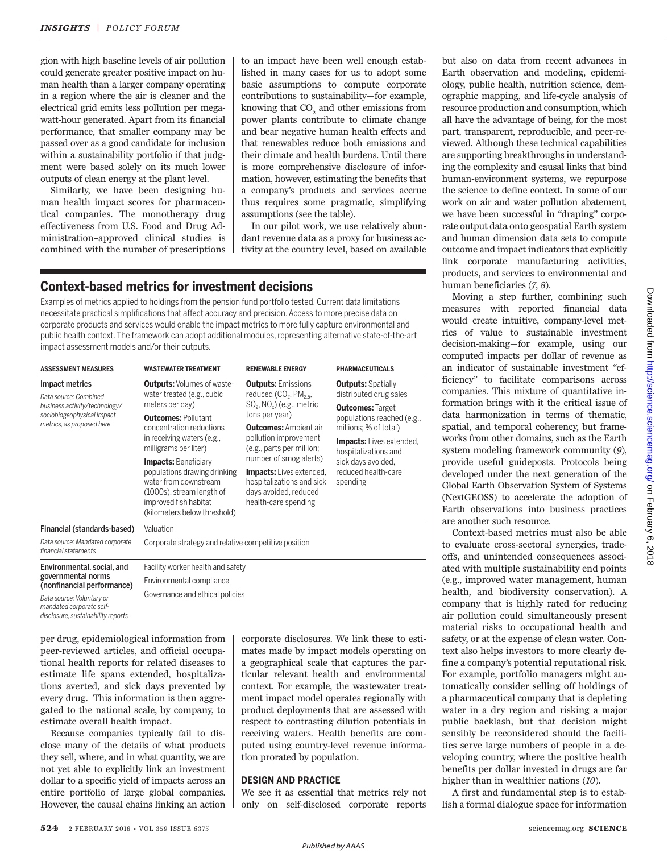gion with high baseline levels of air pollution could generate greater positive impact on human health than a larger company operating in a region where the air is cleaner and the electrical grid emits less pollution per megawatt-hour generated. Apart from its financial performance, that smaller company may be passed over as a good candidate for inclusion within a sustainability portfolio if that judgment were based solely on its much lower outputs of clean energy at the plant level.

Similarly, we have been designing human health impact scores for pharmaceutical companies. The monotherapy drug effectiveness from U.S. Food and Drug Administration–approved clinical studies is combined with the number of prescriptions to an impact have been well enough established in many cases for us to adopt some basic assumptions to compute corporate contributions to sustainability—for example, knowing that  $\mathrm{CO}_2$  and other emissions from power plants contribute to climate change and bear negative human health effects and that renewables reduce both emissions and their climate and health burdens. Until there is more comprehensive disclosure of information, however, estimating the benefits that a company's products and services accrue thus requires some pragmatic, simplifying assumptions (see the table).

In our pilot work, we use relatively abundant revenue data as a proxy for business activity at the country level, based on available

# **Context-based metrics for investment decisions**

Examples of metrics applied to holdings from the pension fund portfolio tested. Current data limitations necessitate practical simplifications that affect accuracy and precision.Access to more precise data on corporate products and services would enable the impact metrics to more fully capture environmental and public health context. The framework can adopt additional modules, representing alternative state-of-the-art impact assessment models and/or their outputs.

| <b>ASSESSMENT MEASURES</b>                                                                                                          | <b>WASTEWATER TREATMENT</b>                                                                                                                                                | <b>RENEWABLE ENERGY</b>                                                                                          | <b>PHARMACEUTICALS</b>                                                                                           |
|-------------------------------------------------------------------------------------------------------------------------------------|----------------------------------------------------------------------------------------------------------------------------------------------------------------------------|------------------------------------------------------------------------------------------------------------------|------------------------------------------------------------------------------------------------------------------|
|                                                                                                                                     |                                                                                                                                                                            |                                                                                                                  |                                                                                                                  |
| Impact metrics<br>Data source: Combined<br>business activity/technology/<br>sociobiogeophysical impact<br>metrics, as proposed here | <b>Outputs:</b> Volumes of waste-<br>water treated (e.g., cubic<br>meters per day)                                                                                         | <b>Outputs: Emissions</b><br>reduced $(CO2, PM2.5,$<br>$SO2$ , NO <sub>x</sub> ) (e.g., metric<br>tons per year) | <b>Outputs:</b> Spatially<br>distributed drug sales                                                              |
|                                                                                                                                     |                                                                                                                                                                            |                                                                                                                  | <b>Outcomes: Target</b><br>populations reached (e.g.,<br>millions; % of total)                                   |
|                                                                                                                                     | <b>Outcomes: Pollutant</b><br>concentration reductions<br>in receiving waters (e.g.,<br>milligrams per liter)                                                              |                                                                                                                  |                                                                                                                  |
|                                                                                                                                     |                                                                                                                                                                            | <b>Outcomes:</b> Ambient air<br>pollution improvement<br>(e.g., parts per million;<br>number of smog alerts)     |                                                                                                                  |
|                                                                                                                                     |                                                                                                                                                                            |                                                                                                                  | <b>Impacts:</b> Lives extended,<br>hospitalizations and<br>sick days avoided,<br>reduced health-care<br>spending |
|                                                                                                                                     | <b>Impacts:</b> Beneficiary<br>populations drawing drinking<br>water from downstream<br>(1000s), stream length of<br>improved fish habitat<br>(kilometers below threshold) |                                                                                                                  |                                                                                                                  |
|                                                                                                                                     |                                                                                                                                                                            | <b>Impacts:</b> Lives extended,<br>hospitalizations and sick<br>days avoided, reduced<br>health-care spending    |                                                                                                                  |
| Financial (standards-based)                                                                                                         | Valuation                                                                                                                                                                  |                                                                                                                  |                                                                                                                  |
| Data source: Mandated corporate<br>financial statements                                                                             | Corporate strategy and relative competitive position                                                                                                                       |                                                                                                                  |                                                                                                                  |
| Environmental, social, and<br>governmental norms<br>(nonfinancial performance)                                                      | Facility worker health and safety                                                                                                                                          |                                                                                                                  |                                                                                                                  |
|                                                                                                                                     | Environmental compliance                                                                                                                                                   |                                                                                                                  |                                                                                                                  |
| Data source: Voluntary or                                                                                                           | Governance and ethical policies                                                                                                                                            |                                                                                                                  |                                                                                                                  |

per drug, epidemiological information from peer-reviewed articles, and official occupational health reports for related diseases to estimate life spans extended, hospitalizations averted, and sick days prevented by every drug. This information is then aggregated to the national scale, by company, to estimate overall health impact.

*mandated corporate selfdisclosure, sustainability reports*

Because companies typically fail to disclose many of the details of what products they sell, where, and in what quantity, we are not yet able to explicitly link an investment dollar to a specific yield of impacts across an entire portfolio of large global companies. However, the causal chains linking an action corporate disclosures. We link these to estimates made by impact models operating on a geographical scale that captures the particular relevant health and environmental context. For example, the wastewater treatment impact model operates regionally with product deployments that are assessed with respect to contrasting dilution potentials in receiving waters. Health benefits are computed using country-level revenue information prorated by population.

#### **DESIGN AND PRACTICE**

We see it as essential that metrics rely not only on self-disclosed corporate reports

but also on data from recent advances in Earth observation and modeling, epidemiology, public health, nutrition science, demographic mapping, and life-cycle analysis of resource production and consumption, which all have the advantage of being, for the most part, transparent, reproducible, and peer-reviewed. Although these technical capabilities are supporting breakthroughs in understanding the complexity and causal links that bind human-environment systems, we repurpose the science to define context. In some of our work on air and water pollution abatement, we have been successful in "draping" corporate output data onto geospatial Earth system and human dimension data sets to compute outcome and impact indicators that explicitly link corporate manufacturing activities, products, and services to environmental and human beneficiaries (*7*, *8*).

Moving a step further, combining such measures with reported financial data would create intuitive, company-level metrics of value to sustainable investment decision-making—for example, using our computed impacts per dollar of revenue as an indicator of sustainable investment "efficiency" to facilitate comparisons across companies. This mixture of quantitative information brings with it the critical issue of data harmonization in terms of thematic, spatial, and temporal coherency, but frameworks from other domains, such as the Earth system modeling framework community (*9*), provide useful guideposts. Protocols being developed under the next generation of the Global Earth Observation System of Systems (NextGEOSS) to accelerate the adoption of Earth observations into business practices are another such resource.

Context-based metrics must also be able to evaluate cross-sectoral synergies, tradeoffs, and unintended consequences associated with multiple sustainability end points (e.g., improved water management, human health, and biodiversity conservation). A company that is highly rated for reducing air pollution could simultaneously present material risks to occupational health and safety, or at the expense of clean water. Context also helps investors to more clearly define a company's potential reputational risk. For example, portfolio managers might automatically consider selling off holdings of a pharmaceutical company that is depleting water in a dry region and risking a major public backlash, but that decision might sensibly be reconsidered should the facilities serve large numbers of people in a developing country, where the positive health benefits per dollar invested in drugs are far higher than in wealthier nations (*10*).

A first and fundamental step is to establish a formal dialogue space for information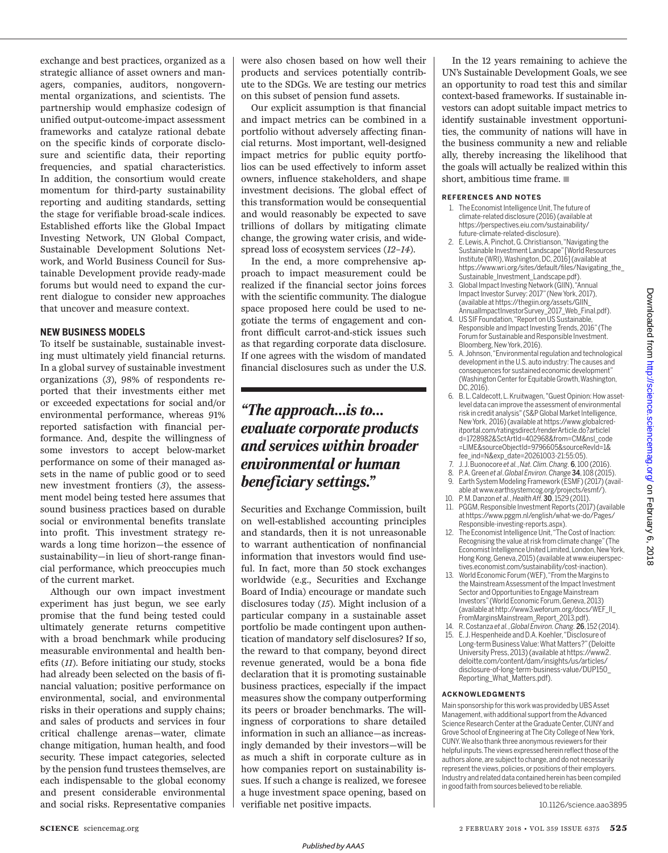exchange and best practices, organized as a strategic alliance of asset owners and managers, companies, auditors, nongovernmental organizations, and scientists. The partnership would emphasize codesign of unified output-outcome-impact assessment frameworks and catalyze rational debate on the specific kinds of corporate disclosure and scientific data, their reporting frequencies, and spatial characteristics. In addition, the consortium would create momentum for third-party sustainability reporting and auditing standards, setting the stage for verifiable broad-scale indices. Established efforts like the Global Impact Investing Network, UN Global Compact, Sustainable Development Solutions Network, and World Business Council for Sustainable Development provide ready-made forums but would need to expand the current dialogue to consider new approaches that uncover and measure context.

#### **NEW BUSINESS MODELS**

To itself be sustainable, sustainable investing must ultimately yield financial returns. In a global survey of sustainable investment organizations (*3*), 98% of respondents reported that their investments either met or exceeded expectations for social and/or environmental performance, whereas 91% reported satisfaction with financial performance. And, despite the willingness of some investors to accept below-market performance on some of their managed assets in the name of public good or to seed new investment frontiers (*3*), the assessment model being tested here assumes that sound business practices based on durable social or environmental benefits translate into profit. This investment strategy rewards a long time horizon—the essence of sustainability—in lieu of short-range financial performance, which preoccupies much of the current market.

Although our own impact investment experiment has just begun, we see early promise that the fund being tested could ultimately generate returns competitive with a broad benchmark while producing measurable environmental and health benefits (*11*). Before initiating our study, stocks had already been selected on the basis of financial valuation; positive performance on environmental, social, and environmental risks in their operations and supply chains; and sales of products and services in four critical challenge arenas—water, climate change mitigation, human health, and food security. These impact categories, selected by the pension fund trustees themselves, are each indispensable to the global economy and present considerable environmental and social risks. Representative companies were also chosen based on how well their products and services potentially contribute to the SDGs. We are testing our metrics on this subset of pension fund assets.

Our explicit assumption is that financial and impact metrics can be combined in a portfolio without adversely affecting financial returns. Most important, well-designed impact metrics for public equity portfolios can be used effectively to inform asset owners, influence stakeholders, and shape investment decisions. The global effect of this transformation would be consequential and would reasonably be expected to save trillions of dollars by mitigating climate change, the growing water crisis, and widespread loss of ecosystem services (*12*–*14*).

In the end, a more comprehensive approach to impact measurement could be realized if the financial sector joins forces with the scientific community. The dialogue space proposed here could be used to negotiate the terms of engagement and confront difficult carrot-and-stick issues such as that regarding corporate data disclosure. If one agrees with the wisdom of mandated financial disclosures such as under the U.S.

# *"The approach…is to… evaluate corporate products and services within broader environmental or human beneficiary settings."*

Securities and Exchange Commission, built on well-established accounting principles and standards, then it is not unreasonable to warrant authentication of nonfinancial information that investors would find useful. In fact, more than 50 stock exchanges worldwide (e.g., Securities and Exchange Board of India) encourage or mandate such disclosures today (*15*). Might inclusion of a particular company in a sustainable asset portfolio be made contingent upon authentication of mandatory self disclosures? If so, the reward to that company, beyond direct revenue generated, would be a bona fide declaration that it is promoting sustainable business practices, especially if the impact measures show the company outperforming its peers or broader benchmarks. The willingness of corporations to share detailed information in such an alliance—as increasingly demanded by their investors—will be as much a shift in corporate culture as in how companies report on sustainability issues. If such a change is realized, we foresee a huge investment space opening, based on verifiable net positive impacts.

In the 12 years remaining to achieve the UN's Sustainable Development Goals, we see an opportunity to road test this and similar context-based frameworks. If sustainable investors can adopt suitable impact metrics to identify sustainable investment opportunities, the community of nations will have in the business community a new and reliable ally, thereby increasing the likelihood that the goals will actually be realized within this short, ambitious time frame.  $\blacksquare$ 

#### **REFERENCES AND NOTES**

- 1. The Economist Intelligence Unit, The future of climate-related disclosure (2016) (available at https://perspectives.eiu.com/sustainability/ future-climate-related-disclosure).
- 2. E. Lewis,A. Pinchot,G. Christianson,"Navigating the Sustainable Investment Landscape" [World Resources Institute (WRI),Washington, DC, 2016](available at https://www.wri.org/sites/default/files/Navigating\_the\_ Sustainable\_Investment\_Landscape.pdf).
- 3. Global Impact Investing Network (GIIN), "Annual Impact Investor Survey: 2017" (NewYork, 2017), (available at https://thegiin.org/assets/GIIN\_ AnnualImpactInvestorSurvey\_2017\_Web\_Final.pdf).
- 4. US SIF Foundation,"Report on US Sustainable, Responsible and Impact Investing Trends, 2016" (The Forum for Sustainable and Responsible Investment. Bloomberg, NewYork, 2016).
- 5. A. Johnson, "Environmental regulation and technological development in the U.S. auto industry: The causes and consequences for sustained economic development" (Washington Center for EquitableGrowth,Washington,  $DC.2016$
- 6. B. L. Caldecott, L. Kruitwagen, "Guest Opinion: How assetlevel data can improve the assessment of environmental risk in credit analysis" (S&P Global Market Intelligence, NewYork, 2016) (available at https://www.globalcreditportal.com/ratingsdirect/renderArticle.do?articleI d=1728982&SctArtId=402968&from=CM&nsl\_code =LIME&sourceObjectId=9796605&sourceRevId=1& fee\_ind=N&exp\_date=20261003-21:55:05).
- 7. J. J.Buonocore *et al.*, *Nat. Clim.Chang.* 6, 100 (2016).
- 8. P.A. Green *et al*. *Global Environ. Change* 34, 108 (2015). 9. Earth System Modeling Framework (ESMF) (2017) (avail-
- able at www.earthsystemcog.org/projects/esmf/).
- 10. P. M. Danzon *et al.*, *Health Aff.* 30, 1529 (2011). 11. PGGM, Responsible Investment Reports (2017)(available at https://www.pggm.nl/english/what-we-do/Pages/
- Responsible-investing-reports.aspx). 12. The Economist Intelligence Unit,"The Cost of Inaction: Recognising the value at risk from climate change" (The Economist Intelligence United Limited, London, New York, Hong Kong, Geneva, 2015)(available at www.eiuperspectives.economist.com/sustainability/cost-inaction).
- 13. World Economic Forum(WEF),"From the Margins to the Mainstream Assessment of the Impact Investment Sector and Opportunities to Engage Mainstream Investors"(World Economic Forum, Geneva,2013) (available at http://www3.weforum.org/docs/WEF\_II\_ FromMarginsMainstream\_Report\_2013.pdf).
- 14. R. Costanza *et al.*, *Global Environ. Chang.* 26, 152 (2014).
- 15. E.J. Hespenheide and D.A.Koehler,"Disclosure of Long-term Business Value: What Matters?" (Deloitte University Press,2013) (available at https://www2. deloitte.com/content/dam/insights/us/articles/ disclosure-of-long-term-business-value/DUP150\_ Reporting\_What\_Matters.pdf).

#### **ACKNOWLEDGMENTS**

Main sponsorship for this work was provided by UBS Asset Management, with additional support from the Advanced Science Research Center at the Graduate Center, CUNY and Grove School of Engineering at The City College of New York, CUNY.We also thank three anonymous reviewers fortheir helpful inputs.The views expressed herein reflect those of the authors alone, are subject to change, and do not necessarily represent the views, policies, or positions of their employers. Industry and related data contained herein has been compiled in good faith from sources believed to be reliable.